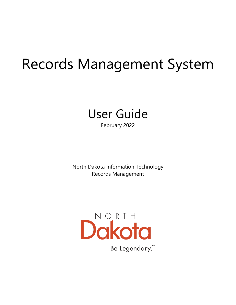# Records Management System



February 2022

North Dakota Information Technology Records Management

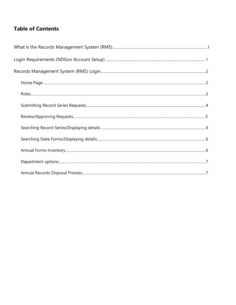# **Table of Contents**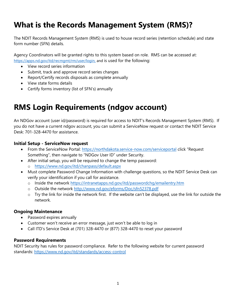# **What is the Records Management System (RMS)?**

The NDIT Records Management System (RMS) is used to house record series (retention schedule) and state form number (SFN) details.

Agency Coordinators will be granted rights to this system based on role. RMS can be accessed at: [https://apps.nd.gov/itd/recmgmt/rm/user/login,](https://apps.nd.gov/itd/recmgmt/rm/user/login) and is used for the following:

- View record series information
- Submit, track and approve record series changes
- Report/Certify records disposals as complete annually
- View state forms details
- Certify forms inventory (list of SFN's) annually

# **RMS Login Requirements (ndgov account)**

An NDGov account (user id/password) is required for access to NDIT's Records Management System (RMS). If you do not have a current ndgov account, you can submit a ServiceNow request or contact the NDIT Service Desk: 701-328-4470 for assistance.

### **Initial Setup - ServiceNow request**

- From the ServiceNow Portal:<https://northdakota.service-now.com/serviceportal> click "Request Something", then navigate to "NDGov User ID" under Security.
- After initial setup, you will be required to change the temp password:
	- o <https://www.nd.gov/itd/chanpass/default.aspx>
- Must complete Password Change Information with challenge questions, so the NDIT Service Desk can verify your identification if you call for assistance.
	- o Inside the network<https://intranetapps.nd.gov/itd/passwordchg/emailentry.htm>
	- o Outside the network<http://www.nd.gov/eforms/Doc/sfn52378.pdf>
	- o Try the link for inside the network first. If the website can't be displayed, use the link for outside the network.

### **Ongoing Maintenance**

- Password expires annually
- Customer won't receive an error message, just won't be able to log in
- Call ITD's Service Desk at (701) 328-4470 or [\(877\) 328-4470](tel:18773284470) to reset your password

### **Password Requirements**

NDIT Security has rules for password compliance. Refer to the following website for current password standards: <https://www.nd.gov/itd/standards/access-control>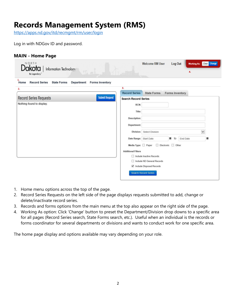# **Records Management System (RMS)**

<https://apps.nd.gov/itd/recmgmt/rm/user/login>

Log in with NDGov ID and password.

|  | <b>MAIN - Home Page</b> |  |
|--|-------------------------|--|
|--|-------------------------|--|

| NORTH<br>Information Technology<br>$\pi$<br>Be Legendory."                                       |                             | <b>Welcome RM User</b>      | Log Out            | Working As: Clear Change<br>4. |   |
|--------------------------------------------------------------------------------------------------|-----------------------------|-----------------------------|--------------------|--------------------------------|---|
| 1.<br>Home<br><b>Record Series</b><br><b>State Forms</b><br><b>Forms Inventory</b><br>Department |                             |                             |                    |                                |   |
| 2.                                                                                               | 3.                          |                             |                    |                                |   |
|                                                                                                  | <b>Record Series</b>        | <b>State Forms</b>          | Forms Inventory    |                                |   |
| <b>Submit Request</b><br><b>Record Series Requests</b>                                           | <b>Search Record Series</b> |                             |                    |                                |   |
| Nothing found to display.                                                                        | RCN:                        |                             |                    |                                |   |
|                                                                                                  | Title:                      |                             |                    |                                |   |
|                                                                                                  |                             |                             |                    |                                |   |
|                                                                                                  | Description:                |                             |                    |                                |   |
|                                                                                                  | Department:                 |                             |                    |                                |   |
|                                                                                                  |                             | Division: Select Division   |                    | $\check{}$                     |   |
|                                                                                                  | Date Range: Start Date      |                             | 笛<br>to            | End Date                       | 葍 |
|                                                                                                  | Media Type: Paper           |                             | Electronic C Other |                                |   |
|                                                                                                  | <b>Additional Filters</b>   |                             |                    |                                |   |
|                                                                                                  |                             | Include Inactive Records    |                    |                                |   |
|                                                                                                  |                             | Include ND General Records  |                    |                                |   |
|                                                                                                  |                             | Include Disposed Records    |                    |                                |   |
|                                                                                                  |                             | <b>Search Record Series</b> |                    |                                |   |

- 1. Home menu options across the top of the page.
- 2. Record Series Requests on the left side of the page displays requests submitted to add, change or delete/inactivate record series.
- 3. Records and forms options from the main menu at the top also appear on the right side of the page.
- 4. Working As option: Click 'Change' button to preset the Department/Division drop downs to a specific area for all pages (Record Series search, State Forms search, etc.). Useful when an individual is the records or forms coordinator for several departments or divisions and wants to conduct work for one specific area.

The home page display and options available may vary depending on your role.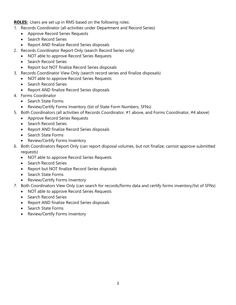**ROLES:** Users are set up in RMS based on the following roles:

- 1. Records Coordinator (all activities under Department and Record Series)
	- Approve Record Series Requests
	- Search Record Series
	- Report AND finalize Record Series disposals
- 2. Records Coordinator Report Only (search Record Series only)
	- NOT able to approve Record Series Requests
	- Search Record Series
	- Report but NOT finalize Record Series disposals
- 3. Records Coordinator View Only (search record series and finalize disposals)
	- NOT able to approve Record Series Requests
	- Search Record Series
	- Report AND finalize Record Series disposals
- 4. Forms Coordinator
	- Search State Forms
	- Review/Certify Forms Inventory (list of State Form Numbers, SFNs)
- 5. Both Coordinators (all activities of Records Coordinator, #1 above, and Forms Coordinator, #4 above)
	- Approve Record Series Requests
	- Search Record Series
	- Report AND finalize Record Series disposals
	- Search State Forms
	- Review/Certify Forms Inventory
- 6. Both Coordinators Report Only (can report disposal volumes, but not finalize; cannot approve submitted requests)
	- NOT able to approve Record Series Requests
	- Search Record Series
	- Report but NOT finalize Record Series disposals
	- Search State Forms
	- Review/Certify Forms Inventory
- 7. Both Coordinators View Only (can search for records/forms data and certify forms inventory/list of SFNs)
	- NOT able to approve Record Series Requests
	- Search Record Series
	- Report AND finalize Record Series disposals
	- Search State Forms
	- Review/Certify Forms Inventory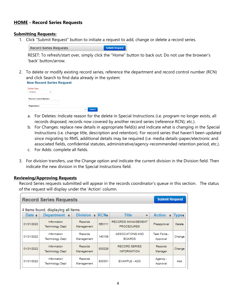# **HOME - Record Series Requests**

#### **Submitting Requests:**

1. Click "Submit Request" button to initiate a request to add, change or delete a record series.

**Submit Request Record Series Requests** 

RESET: To refresh/start over, simply click the "Home" button to back out. Do not use the browser's 'back' button/arrow.

2. To delete or modify existing record series, reference the department and record control number (RCN) and click Search to find data already in the system:



- a. For Deletes: Indicate reason for the delete in Special Instructions (i.e. program no longer exists, all records disposed; records now covered by another record series (reference RCN); etc.).
- b. For Changes: replace new details in appropriate field(s) and indicate what is changing in the Special Instructions (i.e. change title, description and retention). For record series that haven't been updated since migrating to RMS, additional details may be required (i.e. media details-paper/electronic and associated fields, confidential statutes, administrative/agency-recommended retention period, etc.).
- c. For Adds: complete all fields.
- 3. For division transfers, use the Change option and indicate the current division in the Division field. Then indicate the new division in the Special Instructions field.

#### **Reviewing/Approving Requests**

Record Series requests submitted will appear in the records coordinator's queue in this section. The status of the request will display under the 'Action' column.

| <b>Submit Request</b><br><b>Record Series Requests</b> |                                       |                              |            |                                                |                          |             |  |  |  |
|--------------------------------------------------------|---------------------------------------|------------------------------|------------|------------------------------------------------|--------------------------|-------------|--|--|--|
| 4 items found, displaying all items.                   |                                       |                              |            |                                                |                          |             |  |  |  |
| Date $\bullet$                                         | Department of                         | Division •                   | <b>RCN</b> | <b>Title</b><br>$\bullet$                      | <b>Action</b><br>٥       | <b>Type</b> |  |  |  |
| 01/31/2022                                             | Information<br><b>Technology Dept</b> | Records<br>Management        | 650111     | <b>RECORDS MANAGEMENT</b><br><b>PROCEDURES</b> | Preapproval              | Delete      |  |  |  |
| 01/31/2022                                             | Information<br><b>Technology Dept</b> | Records<br>Management        | 140109     | <b>ASSOCIATIONS AND</b><br><b>BOARDS</b>       | Task Force -<br>Approval | Change      |  |  |  |
| 01/31/2022                                             | Information<br><b>Technology Dept</b> | <b>Records</b><br>Management | 800226     | <b>RECORD SERIES</b><br><b>INFORMATION</b>     | Records<br>Manager       | Change      |  |  |  |
| 01/31/2022                                             | Information<br><b>Technology Dept</b> | Records<br>Management        | 800301     | EXAMPLE - ADD                                  | Agency -<br>Approval     | Add         |  |  |  |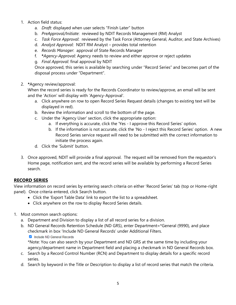### 1. Action field status:

- a. *Draft:* displayed when user selects "Finish Later" button
- b. *PreApproval/Initiate*: reviewed by NDIT Records Management (RM) Analyst
- c. *Task Force Approval*: reviewed by the Task Force (Attorney General, Auditor, and State Archives)
- d. *Analyst Approval*: NDIT RM Analyst provides total retention
- e. *Records Manager*: approval of State Records Manager
- f. **\****Agency-Approval*: Agency needs to review and either approve or reject updates
- g. *Final Approval*: final approval by NDIT

Once approved, this series is available by searching under "Record Series" and becomes part of the disposal process under "Department".

2. **\***Agency review/approval:

When the record series is ready for the Records Coordinator to review/approve, an email will be sent and the 'Action' will display with 'Agency-Approval'.

- a. Click anywhere on row to open Record Series Request details (changes to existing text will be displayed in red).
- b. Review the information and scroll to the bottom of the page.
- c. Under the 'Agency User' section, click the appropriate option:
	- a. If everything is accurate, click the 'Yes I approve this Record Series' option.
	- b. If the information is not accurate, click the 'No I reject this Record Series' option. A new Record Series service request will need to be submitted with the correct information to initiate the process again.
- d. Click the 'Submit' button.
- 3. Once approved, NDIT will provide a final approval. The request will be removed from the requestor's Home page, notification sent, and the record series will be available by performing a Record Series search.

# **RECORD SERIES**

View information on record series by entering search criteria on either 'Record Series' tab (top or Home-right panel). Once criteria entered, click Search button.

- Click the 'Export Table Data' link to export the list to a spreadsheet.
- Click anywhere on the row to display Record Series details.
- 1. Most common search options:
	- a. Department and Division to display a list of all record series for a division.
	- b. ND General Records Retention Schedule (ND GRS), enter Department=\*General (9990), and place checkmark in box 'Include ND General Records' under Additional Filters.
		- Include ND General Records

\*Note: You can also search by your Department and ND GRS at the same time by including your agency/department name in Department field and placing a checkmark in ND General Records box.

- c. Search by a Record Control Number (RCN) and Department to display details for a specific record series.
- d. Search by keyword in the Title or Description to display a list of record series that match the criteria.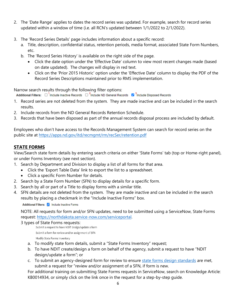- 2. The 'Date Range' applies to dates the record series was updated. For example, search for record series updated within a window of time (i.e. all RCN's updated between 1/1/2022 to 2/1/2022).
- 3. The 'Record Series Details' page includes information about a specific record:
	- a. Title, description, confidential status, retention periods, media format, associated State Form Numbers, etc.
	- b. The 'Record Series History' is available on the right side of the page.
		- Click the date option under the 'Effective Date' column to view most recent changes made (based on date updated). The changes will display in red text.
		- Click on the 'Prior 2015 Historic' option under the 'Effective Date' column to display the PDF of the Record Series Descriptions maintained prior to RMS implementation.

Narrow search results through the following filter options:

Additional Filters: □ <sup>1</sup>include Inactive Records □ <sup>2</sup>include ND General Records ■ <sup>3</sup>include Disposed Records

- 1. Record series are not deleted from the system. They are made inactive and can be included in the search results.
- 2. Include records from the ND General Records Retention Schedule.
- 3. Records that have been disposed as part of the annual records disposal process are included by default.

Employees who don't have access to the Records Management System can search for record series on the public site at<https://apps.nd.gov/itd/recmgmt/rm/recSer/retention.pdf>

# **STATE FORMS**

View/Search state form details by entering search criteria on either 'State Forms' tab (top or Home-right panel), or under Forms Inventory (see next section).

- 1. Search by Department and Division to display a list of all forms for that area.
	- Click the 'Export Table Data' link to export the list to a spreadsheet.
	- Click a specific Form Number for details.
- 2. Search by a State Form Number (SFN) to display details for a specific form.
- 3. Search by all or part of a Title to display forms with a similar title.
- 4. SFN details are not deleted from the system. They are made inactive and can be included in the search results by placing a checkmark in the "Include Inactive Forms" box.

#### Additional Filters: include Inactive Forms

NOTE: All requests for form and/or SFN updates, need to be submitted using a ServiceNow, State Forms request: [https://northdakota.service-now.com/serviceportal.](https://northdakota.service-now.com/serviceportal)

# 3 types of State Forms requests:<br>Submit a request to have NDIT design/update a form

```
Submit a form for review and/or assignment of SFN
Modify State Forms Inventory
```
- a. To modify state form details, submit a "State Forms Inventory" request;
- b. To have NDIT create/design a form on behalf of the agency, submit a request to have "NDIT design/update a form"; or
- c. To submit an agency-designed form for review to ensure [state forms design standards](https://www.ndit.nd.gov/standards#records-management) are met, submit a request for "review and/or assignment of a SFN, if form is new.

For additional training on submitting State Forms requests in ServiceNow, search on Knowledge Article: KB0014934, or simply click on the link once in the request for a step-by-step guide.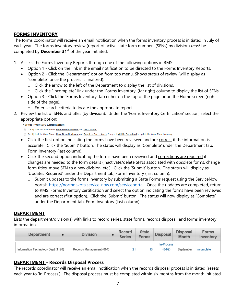# **FORMS INVENTORY**

The forms coordinator will receive an email notification when the forms inventory process is initiated in July of each year. The forms inventory review (report of active state form numbers (SFNs) by division) *must* be completed by **December 31st** of the year initiated.

1. Access the Forms Inventory Reports through one of the following options in RMS:

- Option 1 Click on the link in the email notification to be directed to the Forms Inventory Reports.
- Option 2 Click the 'Department' option from top menu. Shows status of review (will display as "complete" once the process is finalized).
	- $\circ$  Click the arrow to the left of the Department to display the list of divisions.
	- o Click the "Incomplete" link under the 'Forms Inventory' (far right) column to display the list of SFNs.
- Option 3 Click the 'Forms Inventory' tab either on the top of the page or on the Home screen (right side of the page).
	- o Enter search criteria to locate the appropriate report.
- 2. Review the list of SFNs and titles (by division). Under the 'Forms Inventory Certification' section, select the appropriate option:

#### **Forms Inventory Certification**

I Certify that the State Forms Have Been Reviewed and Are Correct.

O I Certify that the State Forms Have Been Reviewed and Requires Corrections. A request Will Be Submitted to update the State Form Inventory.

- Click the first option indicating the forms have been reviewed and are correct if the information is accurate. Click the 'Submit' button. The status will display as 'Complete' under the Department tab, Form Inventory (last column).
- Click the second option indicating the forms have been reviewed and corrections are required if changes are needed to the form details (inactivate/delete SFNs associated with obsolete forms, change form titles, move SFN to a new division, etc.). Click the 'Submit' button. The status will display as 'Updates Required' under the Department tab, Form Inventory (last column).
	- o Submit updates to the forms inventory by submitting a State Forms request using the ServiceNow portal: [https://northdakota.service-now.com/serviceportal.](https://northdakota.service-now.com/serviceportal) Once the updates are completed, return to RMS, Forms Inventory certification and select the option indicating the forms have been reviewed and are correct (first option). Click the 'Submit' button. The status will now display as 'Complete' under the Department tab, Form Inventory (last column).

# **DEPARTMENT**

Lists the department/division(s) with links to record series, state forms, records disposal, and forms inventory information.

| <b>Department</b>                  | <b>Division</b>          | Record<br>Series | <b>State</b><br>Forms | <b>Disposal</b> | <b>Disposal</b><br>Month | <b>Forms</b><br>Inventory |
|------------------------------------|--------------------------|------------------|-----------------------|-----------------|--------------------------|---------------------------|
|                                    |                          |                  |                       | In-Process      |                          |                           |
| Information Technology Dept (1120) | Records Management (004) |                  |                       | $(0-92)$        | September                | Incomplete                |

# **DEPARTMENT - Records Disposal Process**

The records coordinator will receive an email notification when the records disposal process is initiated (resets each year to 'In-Process'). The disposal process must be completed within six months from the month initiated.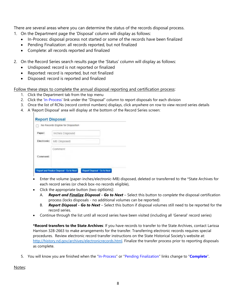There are several areas where you can determine the status of the records disposal process.

- 1. On the Department page the 'Disposal' column will display as follows:
	- In-Process: disposal process not started or some of the records have been finalized
	- Pending Finalization: all records reported, but not finalized
	- Complete: all records reported and finalized
- 2. On the Record Series search results page the 'Status' column will display as follows:
	- Undisposed: record is not reported or finalized
	- Reported: record is reported, but not finalized
	- Disposed: record is reported and finalized

Follow these steps to complete the annual disposal reporting and certification process:

- 1. Click the Department tab from the top menu
- 2. Click the 'In-Process' link under the "Disposal" column to report disposals for each division
- 3. Once the list of RCNs (record control numbers) displays, click anywhere on row to view record series details
- 4. A 'Report Disposal' area will display at the bottom of the Record Series screen:

|             | No Records Eligible for Disposition |
|-------------|-------------------------------------|
| Paper:      | Inches Disposed                     |
| Electronic: | MB Disposed                         |
| Comment:    | Comment                             |
|             |                                     |

- Enter the volume (paper-inches/electronic-MB) disposed, deleted or transferred to the \*State Archives for each record series (or check box-no records eligible),
- Click the appropriate button (two options):
	- A. *Report and Finalize Disposal - Go to Next* Select this button to *complete* the disposal certification process (locks disposals - no additional volumes can be reported)
	- B. *Report Disposal - Go to Next* Select this button if disposal volumes still need to be reported for the record series.
- Continue through the list until all record series have been visited (including all 'General' record series)

**\*Record transfers to the State Archives**: If you have records to transfer to the State Archives, contact Larissa Harrison 328-2663 to make arrangements for the transfer. Transferring electronic records requires special procedures. Review electronic record transfer instructions on the State Historical Society's website at: [http://history.nd.gov/archives/electronicrecords.html.](http://history.nd.gov/archives/electronicrecords.html) Finalize the transfer process prior to reporting disposals as complete.

5. You will know you are finished when the "In-Process" or "Pending Finalization" links change to "**Complete**".

#### Notes: